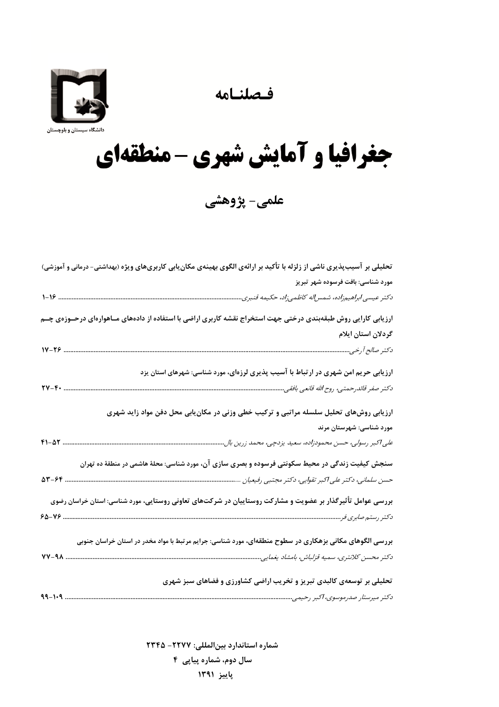فصلنامه



## جغرافيا و آمايش شهري - منطقهاي

علمی- پژوهشی

| تحلیلی بر آسیبپذیری ناشی از زلزله با تأکید بر ارائهی الگوی بهینهی مکان بابی کاربریهای ویژه (بهداشتی- درمانی و آموزشی) |
|-----------------------------------------------------------------------------------------------------------------------|
| مورد شناسی: بافت فرسوده شهر تبریز                                                                                     |
|                                                                                                                       |
| ارزیابی کارایی روش طبقهبندی درختی جهت استخراج نقشه کاربری اراضی با استفاده از دادههای مــاهوارهای درحــوزهی چــم      |
| گردلان استان ایلام                                                                                                    |
|                                                                                                                       |
| ارزیابی حریم امن شهری در ارتباط با آسیب پذیری لرزهای، مورد شناسی: شهرهای استان یزد                                    |
| $\mathbf{Y} \mathbf{V} - \mathbf{F} \cdot$                                                                            |
| ارزیابی روشهای تحلیل سلسله مراتبی و ترکیب خطی وزنی در مکان یابی محل دفن مواد زاید شهری                                |
| مورد شناسی: شهرستان مرند                                                                                              |
| على اكبر رسولى، حسن محمودزاده، سعيد يزدچى، محمد زرين بال                                                              |
| سنجش کیفیت زندگی در محیط سکونتی فرسوده و بصری سازی آن، مورد شناسی: محلهٔ هاشمی در منطقهٔ ده تهران                     |
|                                                                                                                       |
| بررسی عوامل تأثیرگذار بر عضویت و مشارکت روستاییان در شرکتهای تعاونی روستایی، مورد شناسی: استان خراسان رضوی            |
|                                                                                                                       |
| بررسی الگوهای مکانی بزهکاری در سطوح منطقهای، مورد شناسی: جرایم مرتبط با مواد مخدر در استان خراسان جنوبی               |
|                                                                                                                       |
| تحلیلی بر توسعهی کالبدی تبریز و تخریب اراضی کشاورزی و فضاهای سبز شهری                                                 |
|                                                                                                                       |

شماره استاندارد بين المللي: ٢٢٢٧- ٢٣۴۵ سال دوم، شماره پیاپی ۴ پاييز ١٣٩١